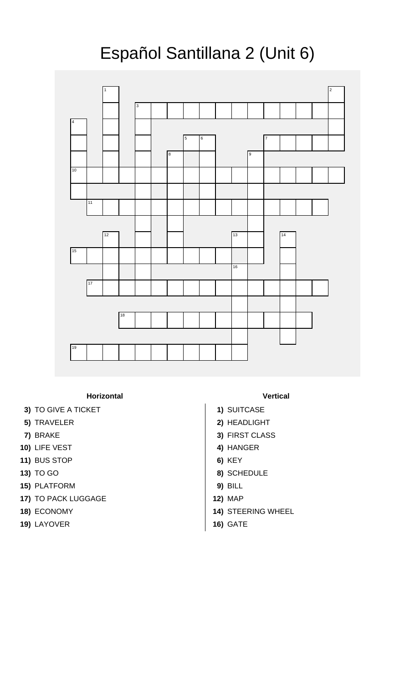## Español Santillana 2 (Unit 6)



**Horizontal Vertical**

- **3)** TO GIVE A TICKET **1)** SUITCASE
- 
- 
- **10)** LIFE VEST **4)** HANGER
- **11)** BUS STOP **6)** KEY
- 
- **15)** PLATFORM **9)** BILL
- **17)** TO PACK LUGGAGE **12)** MAP
- 
- **19)** LAYOVER **16)** GATE
- 
- 
- **5)** TRAVELER **2)** HEADLIGHT
- **7)** BRAKE **3)** FIRST CLASS
	-
	-
- **13)** TO GO **8)** SCHEDULE
	-
	-
- **18)** ECONOMY **14)** STEERING WHEEL
	-